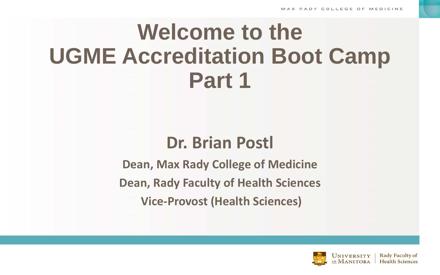# **Welcome to the UGME Accreditation Boot Camp Part 1**

## **Dr. Brian Postl**

**Dean, Max Rady College of Medicine Dean, Rady Faculty of Health Sciences Vice-Provost (Health Sciences)**

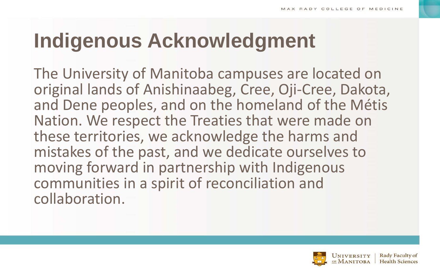# **Indigenous Acknowledgment**

The University of Manitoba campuses are located on original lands of Anishinaabeg, Cree, Oji-Cree, Dakota, and Dene peoples, and on the homeland of the Métis Nation. We respect the Treaties that were made on these territories, we acknowledge the harms and mistakes of the past, and we dedicate ourselves to moving forward in partnership with Indigenous communities in a spirit of reconciliation and collaboration.

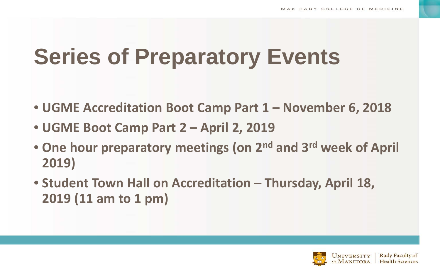# **Series of Preparatory Events**

- **UGME Accreditation Boot Camp Part 1 – November 6, 2018**
- **UGME Boot Camp Part 2 – April 2, 2019**
- **One hour preparatory meetings (on 2nd and 3rd week of April 2019)**
- **Student Town Hall on Accreditation – Thursday, April 18, 2019 (11 am to 1 pm)**

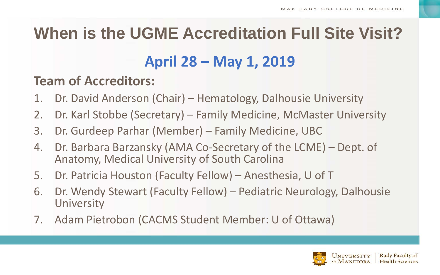## **When is the UGME Accreditation Full Site Visit?**

### **April 28 – May 1, 2019**

### **Team of Accreditors:**

- 1. Dr. David Anderson (Chair) Hematology, Dalhousie University
- 2. Dr. Karl Stobbe (Secretary) Family Medicine, McMaster University
- 3. Dr. Gurdeep Parhar (Member) Family Medicine, UBC
- 4. Dr. Barbara Barzansky (AMA Co-Secretary of the LCME) Dept. of Anatomy, Medical University of South Carolina
- 5. Dr. Patricia Houston (Faculty Fellow) Anesthesia, U of T
- 6. Dr. Wendy Stewart (Faculty Fellow) Pediatric Neurology, Dalhousie **University**
- 7. Adam Pietrobon (CACMS Student Member: U of Ottawa)

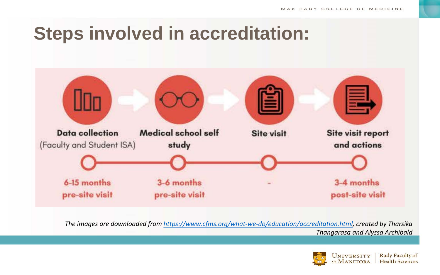## **Steps involved in accreditation:**



*The images are downloaded from [https://www.cfms.org/what-we-do/education/accreditation.html,](https://www.cfms.org/what-we-do/education/accreditation.html) created by Tharsika Thangarasa and Alyssa Archibald*

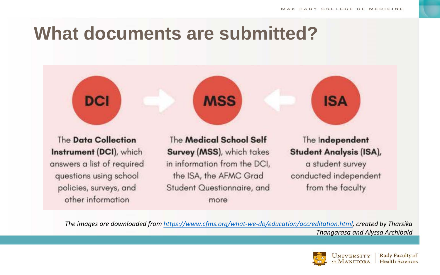## **What documents are submitted?**



**DCI** 

The Medical School Self Survey (MSS), which takes in information from the DCI, the ISA, the AFMC Grad Student Questionnaire, and more

**MSS** 

**ISA** 

The Independent **Student Analysis (ISA),** 

a student survey conducted independent from the faculty

*The images are downloaded from [https://www.cfms.org/what-we-do/education/accreditation.html,](https://www.cfms.org/what-we-do/education/accreditation.html) created by Tharsika Thangarasa and Alyssa Archibald*

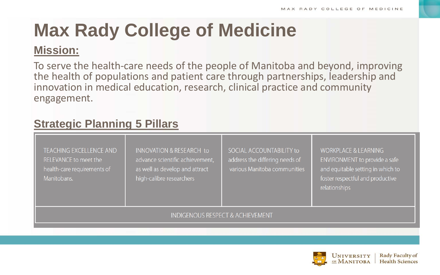# **Max Rady College of Medicine**

### **Mission:**

To serve the health-care needs of the people of Manitoba and beyond, improving the health of populations and patient care through partnerships, leadership and innovation in medical education, research, clinical practice and community engagement.

### **Strategic Planning 5 Pillars**

| <b>TEACHING EXCELLENCE AND</b><br><b>RELEVANCE to meet the</b><br>health-care requirements of<br>Manitobans. | INNOVATION & RESEARCH to<br>advance scientific achievement,<br>as well as develop and attract<br>high-calibre researchers | SOCIAL ACCOUNTABILITY to<br>address the differing needs of<br>various Manitoba communities | <b>WORKPLACE &amp; LEARNING</b><br>ENVIRONMENT to provide a safe<br>and equitable setting in which to<br>foster respectful and productive<br>relationships |  |  |
|--------------------------------------------------------------------------------------------------------------|---------------------------------------------------------------------------------------------------------------------------|--------------------------------------------------------------------------------------------|------------------------------------------------------------------------------------------------------------------------------------------------------------|--|--|
| <b>INDIGENOUS RESPECT &amp; ACHIEVEMENT</b>                                                                  |                                                                                                                           |                                                                                            |                                                                                                                                                            |  |  |

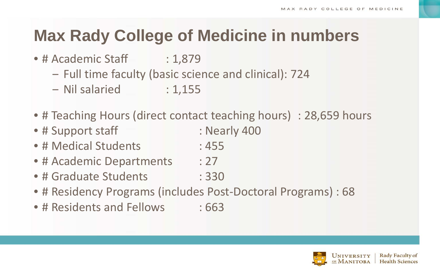## **Max Rady College of Medicine in numbers**

- # Academic Staff : 1,879
	- ‒ Full time faculty (basic science and clinical): 724
	- Nil salaried : 1,155
- # Teaching Hours (direct contact teaching hours) : 28,659 hours
- # Support staff : Nearly 400
- # Medical Students : 455
- # Academic Departments : 27
- # Graduate Students : 330
- # Residency Programs (includes Post-Doctoral Programs) : 68
- # Residents and Fellows : 663

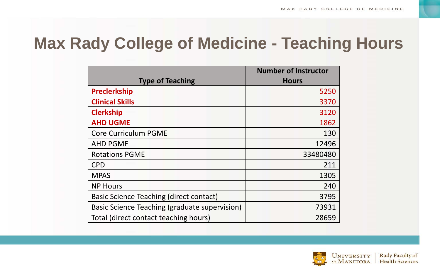## **Max Rady College of Medicine - Teaching Hours**

|                                               | <b>Number of Instructor</b> |
|-----------------------------------------------|-----------------------------|
| <b>Type of Teaching</b>                       | <b>Hours</b>                |
| <b>Preclerkship</b>                           | 5250                        |
| <b>Clinical Skills</b>                        | 3370                        |
| <b>Clerkship</b>                              | 3120                        |
| <b>AHD UGME</b>                               | 1862                        |
| <b>Core Curriculum PGME</b>                   | 130                         |
| <b>AHD PGME</b>                               | 12496                       |
| <b>Rotations PGME</b>                         | 33480480                    |
| <b>CPD</b>                                    | 211                         |
| <b>MPAS</b>                                   | 1305                        |
| <b>NP Hours</b>                               | 240                         |
| Basic Science Teaching (direct contact)       | 3795                        |
| Basic Science Teaching (graduate supervision) | 73931                       |
| Total (direct contact teaching hours)         | 28659                       |

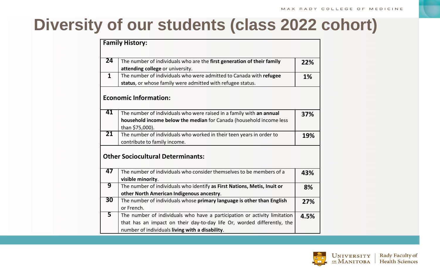## **Diversity of our students (class 2022 cohort)**

|                                          | <b>Family History:</b>                                                                                                                                                                                  |      |  |  |
|------------------------------------------|---------------------------------------------------------------------------------------------------------------------------------------------------------------------------------------------------------|------|--|--|
| 24                                       | The number of individuals who are the first generation of their family<br>attending college or university.                                                                                              | 22%  |  |  |
| $\mathbf{1}$                             | The number of individuals who were admitted to Canada with refugee<br>status, or whose family were admitted with refugee status.                                                                        |      |  |  |
|                                          | <b>Economic Information:</b>                                                                                                                                                                            |      |  |  |
| 41                                       | The number of individuals who were raised in a family with an annual<br>household income below the median for Canada (household income less<br>than \$75,000).                                          | 37%  |  |  |
| 21                                       | The number of individuals who worked in their teen years in order to<br>contribute to family income.                                                                                                    | 19%  |  |  |
| <b>Other Sociocultural Determinants:</b> |                                                                                                                                                                                                         |      |  |  |
| 47                                       | The number of individuals who consider themselves to be members of a<br>visible minority.                                                                                                               | 43%  |  |  |
| 9                                        | The number of individuals who identify as First Nations, Metis, Inuit or<br>other North American Indigenous ancestry.                                                                                   |      |  |  |
| $\overline{30}$                          | The number of individuals whose primary language is other than English<br>or French.                                                                                                                    | 27%  |  |  |
| $\overline{\mathbf{5}}$                  | The number of individuals who have a participation or activity limitation<br>that has an impact on their day-to-day life Or, worded differently, the<br>number of individuals living with a disability. | 4.5% |  |  |

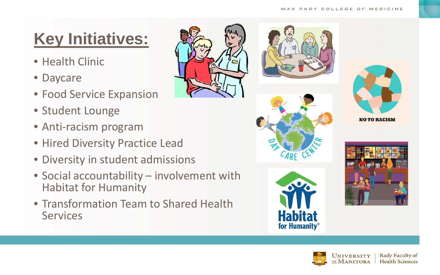## **Key Initiatives:**

- Health Clinic
- Daycare
- Food Service Expansion
- Student Lounge
- Anti-racism program
- Hired Diversity Practice Lead
- Diversity in student admissions
- Social accountability involvement with Habitat for Humanity
- Transformation Team to Shared Health **Services**











**ACT** 

**Habitat** 

for Humanity<sup>®</sup>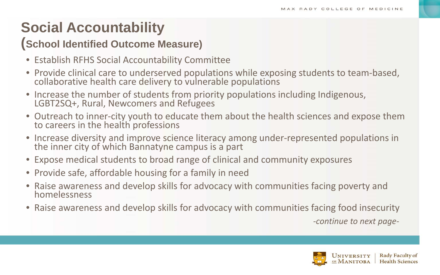### **Social Accountability**

#### **(School Identified Outcome Measure)**

- Establish RFHS Social Accountability Committee
- Provide clinical care to underserved populations while exposing students to team-based, collaborative health care delivery to vulnerable populations
- Increase the number of students from priority populations including Indigenous, LGBT2SQ+, Rural, Newcomers and Refugees
- Outreach to inner-city youth to educate them about the health sciences and expose them to careers in the health professions
- Increase diversity and improve science literacy among under-represented populations in the inner city of which Bannatyne campus is a part
- Expose medical students to broad range of clinical and community exposures
- Provide safe, affordable housing for a family in need
- Raise awareness and develop skills for advocacy with communities facing poverty and homelessness
- Raise awareness and develop skills for advocacy with communities facing food insecurity

*-continue to next page-*

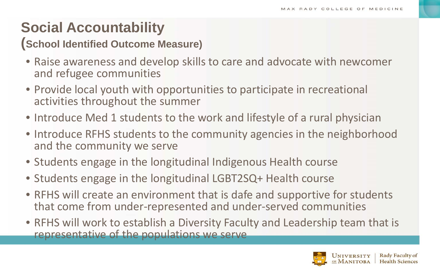### **Social Accountability**

### **(School Identified Outcome Measure)**

- Raise awareness and develop skills to care and advocate with newcomer and refugee communities
- Provide local youth with opportunities to participate in recreational activities throughout the summer
- Introduce Med 1 students to the work and lifestyle of a rural physician
- Introduce RFHS students to the community agencies in the neighborhood and the community we serve
- Students engage in the longitudinal Indigenous Health course
- Students engage in the longitudinal LGBT2SQ+ Health course
- RFHS will create an environment that is dafe and supportive for students that come from under-represented and under-served communities
- RFHS will work to establish a Diversity Faculty and Leadership team that is representative of the populations we serve

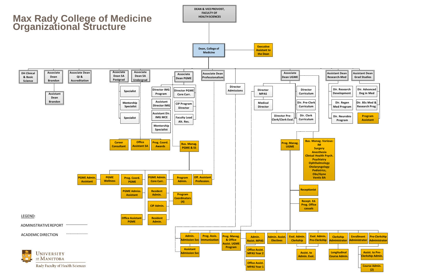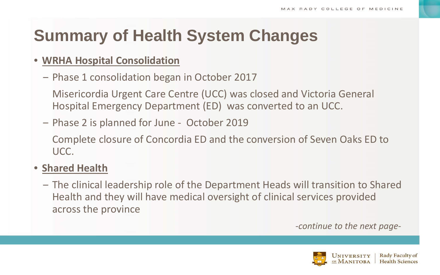## **Summary of Health System Changes**

#### • **WRHA Hospital Consolidation**

‒ Phase 1 consolidation began in October 2017

Misericordia Urgent Care Centre (UCC) was closed and Victoria General Hospital Emergency Department (ED) was converted to an UCC.

‒ Phase 2 is planned for June - October 2019

Complete closure of Concordia ED and the conversion of Seven Oaks ED to UCC.

#### • **Shared Health**

‒ The clinical leadership role of the Department Heads will transition to Shared Health and they will have medical oversight of clinical services provided across the province

-*continue to the next page-*

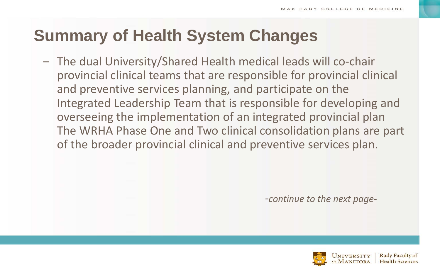## **Summary of Health System Changes**

‒ The dual University/Shared Health medical leads will co-chair provincial clinical teams that are responsible for provincial clinical and preventive services planning, and participate on the Integrated Leadership Team that is responsible for developing and overseeing the implementation of an integrated provincial plan The WRHA Phase One and Two clinical consolidation plans are part of the broader provincial clinical and preventive services plan.

*-continue to the next page-*

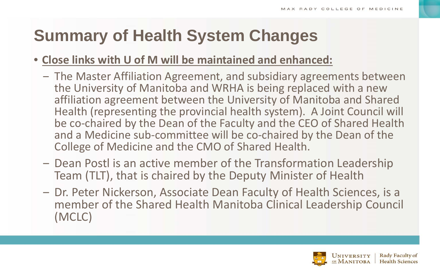## **Summary of Health System Changes**

### • **Close links with U of M will be maintained and enhanced:**

- ‒ The Master Affiliation Agreement, and subsidiary agreements between the University of Manitoba and WRHA is being replaced with a new affiliation agreement between the University of Manitoba and Shared Health (representing the provincial health system). A Joint Council will be co-chaired by the Dean of the Faculty and the CEO of Shared Health and a Medicine sub-committee will be co-chaired by the Dean of the College of Medicine and the CMO of Shared Health.
- ‒ Dean Postl is an active member of the Transformation Leadership Team (TLT), that is chaired by the Deputy Minister of Health
- ‒ Dr. Peter Nickerson, Associate Dean Faculty of Health Sciences, is a member of the Shared Health Manitoba Clinical Leadership Council (MCLC)

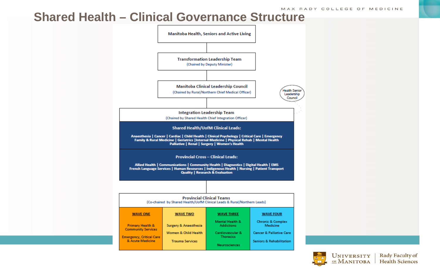### **Shared Health – Clinical Governance Structure**